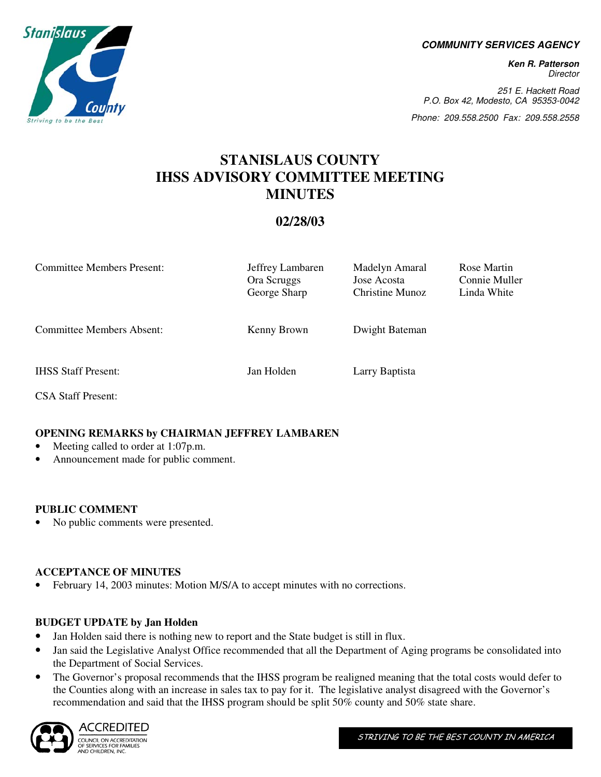**COMMUNITY SERVICES AGENCY** 

**Ken R. Patterson**  Director

251 E. Hackett Road P.O. Box 42, Modesto, CA 95353-0042

Phone: 209.558.2500 Fax: 209.558.2558

## **STANISLAUS COUNTY IHSS ADVISORY COMMITTEE MEETING MINUTES**

### **02/28/03**

| <b>Committee Members Present:</b> | Jeffrey Lambaren<br>Ora Scruggs<br>George Sharp | Madelyn Amaral<br>Jose Acosta<br>Christine Munoz | Rose Martin<br>Connie Muller<br>Linda White |
|-----------------------------------|-------------------------------------------------|--------------------------------------------------|---------------------------------------------|
| <b>Committee Members Absent:</b>  | Kenny Brown                                     | Dwight Bateman                                   |                                             |
| <b>IHSS Staff Present:</b>        | Jan Holden                                      | Larry Baptista                                   |                                             |
| <b>CSA Staff Present:</b>         |                                                 |                                                  |                                             |

#### **OPENING REMARKS by CHAIRMAN JEFFREY LAMBAREN**

- Meeting called to order at 1:07p.m.
- Announcement made for public comment.

#### **PUBLIC COMMENT**

• No public comments were presented.

#### **ACCEPTANCE OF MINUTES**

• February 14, 2003 minutes: Motion M/S/A to accept minutes with no corrections.

#### **BUDGET UPDATE by Jan Holden**

- Jan Holden said there is nothing new to report and the State budget is still in flux.
- Jan said the Legislative Analyst Office recommended that all the Department of Aging programs be consolidated into the Department of Social Services.
- The Governor's proposal recommends that the IHSS program be realigned meaning that the total costs would defer to the Counties along with an increase in sales tax to pay for it. The legislative analyst disagreed with the Governor's recommendation and said that the IHSS program should be split 50% county and 50% state share.



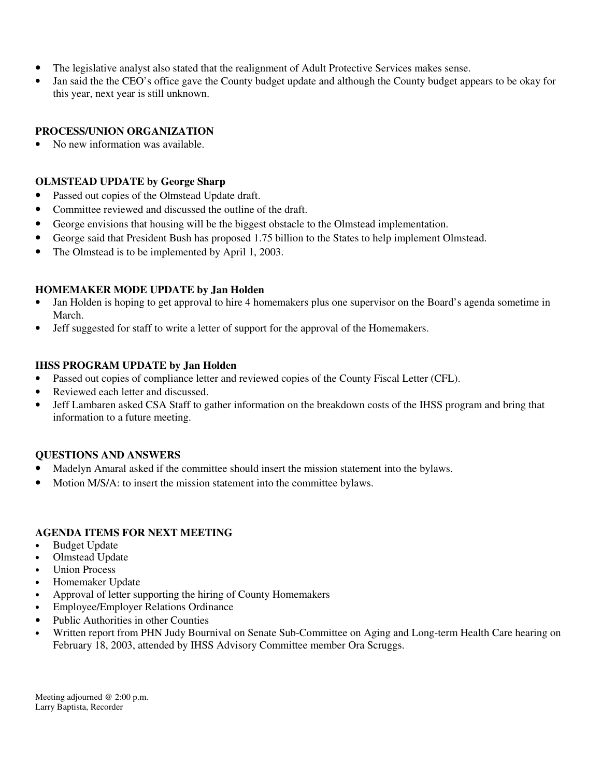- The legislative analyst also stated that the realignment of Adult Protective Services makes sense.
- Jan said the the CEO's office gave the County budget update and although the County budget appears to be okay for this year, next year is still unknown.

#### **PROCESS/UNION ORGANIZATION**

• No new information was available.

#### **OLMSTEAD UPDATE by George Sharp**

- Passed out copies of the Olmstead Update draft.
- Committee reviewed and discussed the outline of the draft.
- George envisions that housing will be the biggest obstacle to the Olmstead implementation.
- George said that President Bush has proposed 1.75 billion to the States to help implement Olmstead.
- The Olmstead is to be implemented by April 1, 2003.

#### **HOMEMAKER MODE UPDATE by Jan Holden**

- Jan Holden is hoping to get approval to hire 4 homemakers plus one supervisor on the Board's agenda sometime in March.
- Jeff suggested for staff to write a letter of support for the approval of the Homemakers.

#### **IHSS PROGRAM UPDATE by Jan Holden**

- Passed out copies of compliance letter and reviewed copies of the County Fiscal Letter (CFL).
- Reviewed each letter and discussed.
- Jeff Lambaren asked CSA Staff to gather information on the breakdown costs of the IHSS program and bring that information to a future meeting.

#### **QUESTIONS AND ANSWERS**

- Madelyn Amaral asked if the committee should insert the mission statement into the bylaws.
- Motion M/S/A: to insert the mission statement into the committee bylaws.

#### **AGENDA ITEMS FOR NEXT MEETING**

- Budget Update
- Olmstead Update
- **Union Process**
- Homemaker Update
- Approval of letter supporting the hiring of County Homemakers
- Employee/Employer Relations Ordinance
- Public Authorities in other Counties
- Written report from PHN Judy Bournival on Senate Sub-Committee on Aging and Long-term Health Care hearing on February 18, 2003, attended by IHSS Advisory Committee member Ora Scruggs.

Meeting adjourned @ 2:00 p.m. Larry Baptista, Recorder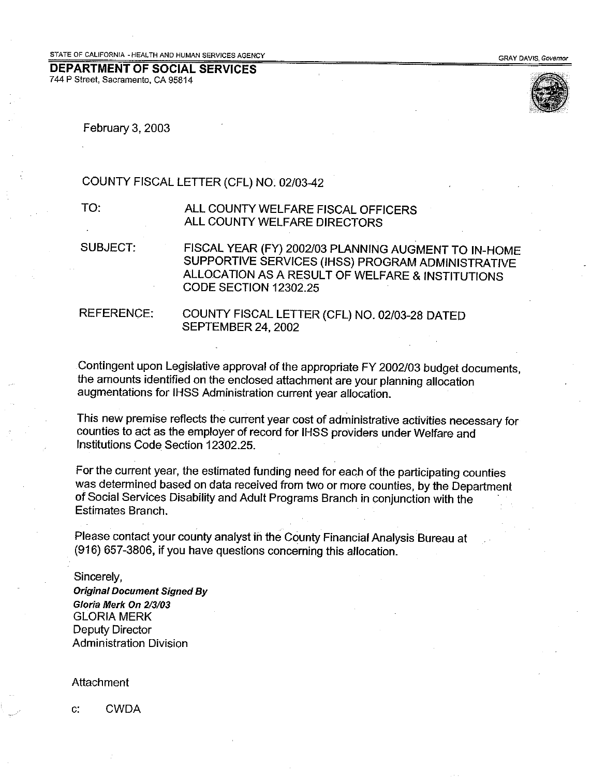#### **DEPARTMENT OF SOCIAL SERVICES** 744 P Street, Sacramento, CA 95814



February 3, 2003

#### COUNTY FISCAL LETTER (CFL) NO. 02/03-42

TO.

ALL COUNTY WELFARE FISCAL OFFICERS ALL COUNTY WELFARE DIRECTORS

**SUBJECT:** FISCAL YEAR (FY) 2002/03 PLANNING AUGMENT TO IN-HOME SUPPORTIVE SERVICES (IHSS) PROGRAM ADMINISTRATIVE ALLOCATION AS A RESULT OF WELFARE & INSTITUTIONS CODE SECTION 12302.25

**REFERENCE:** 

COUNTY FISCAL LETTER (CFL) NO. 02/03-28 DATED SEPTEMBER 24, 2002

Contingent upon Legislative approval of the appropriate FY 2002/03 budget documents. the amounts identified on the enclosed attachment are your planning allocation augmentations for IHSS Administration current year allocation.

This new premise reflects the current year cost of administrative activities necessary for counties to act as the employer of record for IHSS providers under Welfare and Institutions Code Section 12302.25.

For the current year, the estimated funding need for each of the participating counties was determined based on data received from two or more counties, by the Department of Social Services Disability and Adult Programs Branch in conjunction with the Estimates Branch.

Please contact your county analyst in the County Financial Analysis Bureau at (916) 657-3806, if you have questions concerning this allocation.

Sincerely, **Original Document Signed By** Gloria Merk On 2/3/03 **GLORIA MERK Deputy Director Administration Division** 

Attachment

 $C^*$ **CWDA**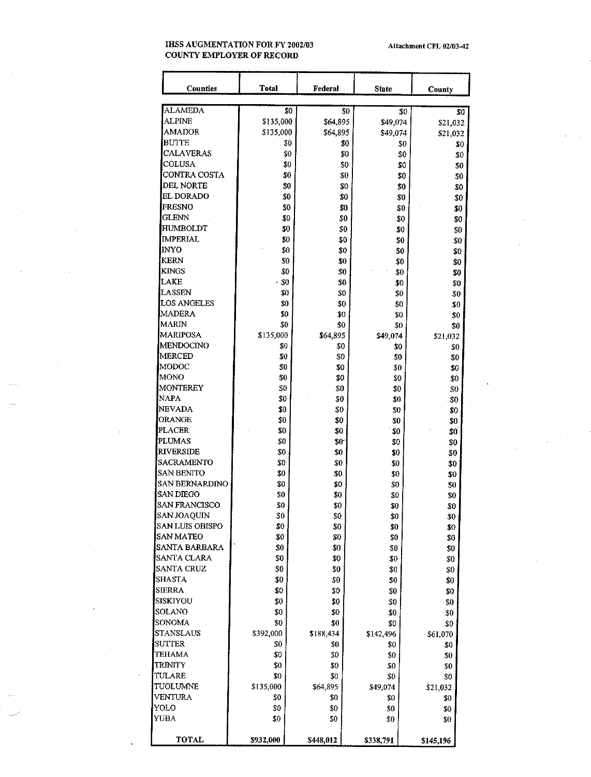#### **IHSS AUGMENTATION FOR FY 2002/03 COUNTY EMPLOYER OF RECORD**

| Counties                | <b>Total</b> | Federal    | <b>State</b> | County                 |
|-------------------------|--------------|------------|--------------|------------------------|
| <b>ALAMEDA</b>          | SO           |            | \$0          | \$0                    |
| <b>ALPINE</b>           | \$135,000    | \$64,895   | \$49,074     | \$0                    |
| AMADOR                  | \$135,000    | \$64,895   | \$49,074     | \$21,032               |
| BUTTE                   | \$0          |            | \$0          | \$21,032<br>\$0<br>\$0 |
| <b>CALAVERAS</b>        | \$0          |            | \$0          | \$0<br>\$0             |
| COLUSA                  | \$0          |            | \$0          | \$0<br>\$0             |
| CONTRA COSTA            | \$0          |            | \$0          | \$0<br>\$0             |
| DEL NORTE               | \$0          |            | \$0          | \$0<br>\$0             |
| EL DORADO               | \$0          |            | \$0          | \$0<br>\$0             |
| <b>FRESNO</b>           | \$0          |            | \$0          | \$0<br>\$0             |
| GLENN                   | \$0          |            | \$0          | \$0<br>\$0             |
| HUMBOLDT                | \$0          |            | \$0          | \$0<br>\$0             |
| IMPERIAL                | \$0          |            | \$0          | \$0<br>\$0             |
| INYO                    | \$0          | \$0        |              | \$0<br>\$0             |
| KERN                    | \$0          | \$0        | \$0          | \$0                    |
| <b>KINGS</b>            | \$0          | \$0        | \$0          | \$0                    |
| LAKE                    | \$0          | $\$0$      | \$0          | \$0                    |
| LASSEN                  | \$0          | \$0        | \$0          | \$0                    |
| LOS ANGELES             | \$0          | \$0        | \$0          | \$0                    |
| <b>MADERA</b>           | \$0          | \$0        | \$0          | \$0                    |
| MARIN                   | \$0          | \$0        | \$0          | \$0                    |
| MARIPOSA                | \$135,000    | \$64,895   | \$49,074     | \$21,032               |
| MENDOCINO               | 30           | \$0        | \$0          | \$0                    |
| MERCED                  | \$0          | \$0        | \$0          | \$0                    |
| MODOC                   | \$0          | \$0        | \$0          | \$0                    |
| MONO                    | 30           | \$0        | \$0          | \$0                    |
| MONTEREY                | \$0          | \$0        | \$0          | \$0                    |
| NAPA                    | \$0          | \$0        | \$0          | \$0                    |
| NEVADA                  | \$0          | \$0        | \$0          | \$0                    |
| ORANGE                  | \$0          | \$0        | \$0          | \$0                    |
| <b>PLACER</b><br>PLUMAS | \$0          | \$0        | \$0          | \$0                    |
| RIVERSIDE               | \$0<br>\$0   | \$0<br>\$0 | \$0          | \$0                    |
| <b>SACRAMENTO</b>       | \$0          | \$0        | \$0<br>\$0   | \$0                    |
| <b>SAN BENITO</b>       | \$0          | \$0        | \$0          | \$0                    |
| <b>SAN BERNARDINO</b>   | \$0          | \$0        | \$0          | \$0<br>\$0             |
| <b>SAN DIEGO</b>        | \$0          | \$0        | \$0          | \$0                    |
| SAN FRANCISCO           | \$0          | \$0        | \$0          | \$0                    |
| SAN JOAQUIN             | \$0          | \$0        | \$0          | \$0                    |
| SAN LUIS OBISPO         | \$0          | \$0        | \$0          | \$0                    |
| <b>SAN MATEO</b>        | \$0          | \$0        | \$0          | \$0                    |
| SANTA BARBARA           | \$0          | \$0        | \$0          | \$0                    |
| SANTA CLARA             | \$0          | \$0        | \$0          | \$0                    |
| <b>SANTA CRUZ</b>       | \$0          | \$0        | \$0          | \$0                    |
| SHASTA                  | \$0          | \$0        | \$0          | \$0                    |
| SIERRA                  | \$0          | \$0        | \$0          | \$0                    |
| SISKIYOU                | \$0          | \$0        | \$0          | \$0                    |
| SOLANO                  | \$0          | \$0        | \$0          | \$0                    |
| SONOMA                  | \$0          | \$0        | \$0          | \$0                    |
| STANSLAUS               | \$392,000    | \$188,434  | \$142,496    | \$61,070               |
| SUTTER                  | \$0          | \$0        | \$0          | \$0                    |
| TEHAMA                  | \$0          | \$0        | \$0          | \$0                    |
| TR INITY                | \$0          | \$0        | \$0          | \$0                    |
| TULARE                  | $\$0$        | \$0        | \$0          | \$0                    |
| TUOLUMNE                | \$135,000    | \$64,895   | \$49,074     | \$21,032               |
| VENTURA                 | \$0          | \$0        | \$0          | \$0                    |
| YOLO                    | \$0          | \$0        | \$0          | \$0                    |
| YUBA                    | \$0          | \$0        | \$0          | \$0                    |
| TOTAL                   | \$932,000    | \$448,012  | \$338,791    | \$145,196              |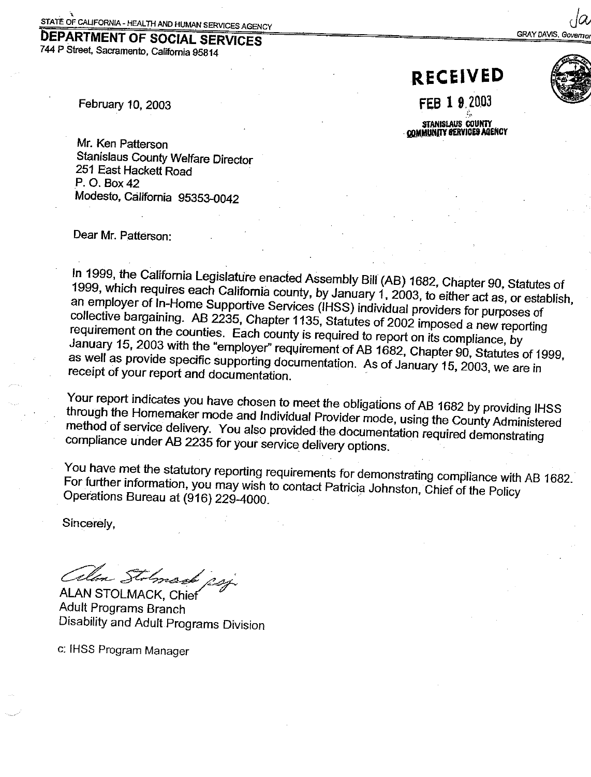# **DEPARTMENT OF SOCIAL SERVICES**

744 P Street, Sacramento, California 95814

**RECEIVED** 

FEB 1 9 2003

STANISLAUS COUNTY **COMMUNITY SERVICES AGENCY** 



**GRAY DAVIS, Gover** 

February 10, 2003

Mr. Ken Patterson **Stanislaus County Welfare Director** 251 East Hackett Road P. O. Box 42 Modesto, California 95353-0042

Dear Mr. Patterson:

In 1999, the California Legislature enacted Assembly Bill (AB) 1682, Chapter 90, Statutes of 1999, which requires each California county, by January 1, 2003, to either act as, or establish, an employer of In-Home Supportive Services (IHSS) individual providers for purposes of collective bargaining. AB 2235, Chapter 1135, Statutes of 2002 imposed a new reporting requirement on the counties. Each county is required to report on its compliance, by January 15, 2003 with the "employer" requirement of AB 1682, Chapter 90, Statutes of 1999, as well as provide specific supporting documentation. As of January 15, 2003, we are in receipt of your report and documentation.

Your report indicates you have chosen to meet the obligations of AB 1682 by providing IHSS through the Homemaker mode and Individual Provider mode, using the County Administered method of service delivery. You also provided the documentation required demonstrating compliance under AB 2235 for your service delivery options.

You have met the statutory reporting requirements for demonstrating compliance with AB 1682. For further information, you may wish to contact Patricia Johnston, Chief of the Policy Operations Bureau at (916) 229-4000.

Sincerely,

allon Stolmand psy

**ALAN STOLMACK, Chief** Adult Programs Branch Disability and Adult Programs Division

c: IHSS Program Manager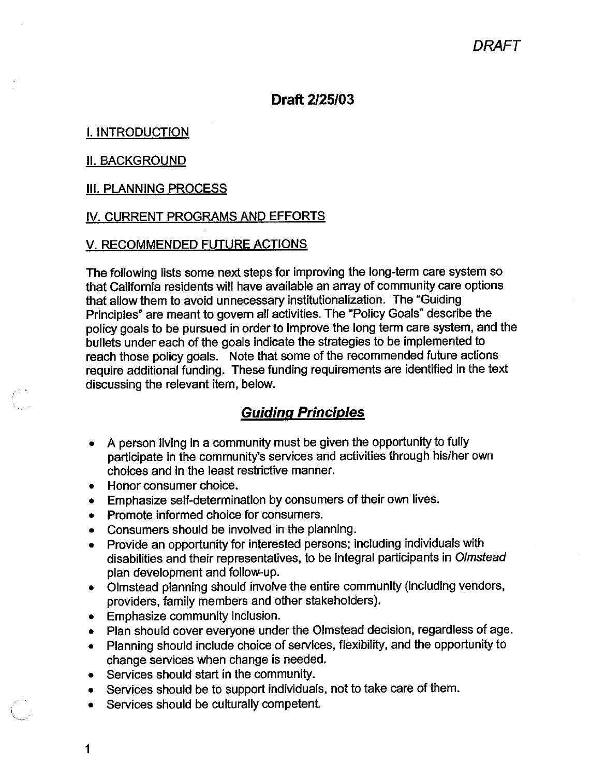### Draft 2/25/03

### **I. INTRODUCTION**

#### **II. BACKGROUND**

#### **III. PLANNING PROCESS**

#### IV. CURRENT PROGRAMS AND EFFORTS

#### V. RECOMMENDED FUTURE ACTIONS

The following lists some next steps for improving the long-term care system so that California residents will have available an array of community care options that allow them to avoid unnecessary institutionalization. The "Guiding Principles" are meant to govern all activities. The "Policy Goals" describe the policy goals to be pursued in order to improve the long term care system, and the bullets under each of the goals indicate the strategies to be implemented to reach those policy goals. Note that some of the recommended future actions require additional funding. These funding requirements are identified in the text discussing the relevant item, below.

### **Guiding Principles**

- A person living in a community must be given the opportunity to fully  $\bullet$ participate in the community's services and activities through his/her own choices and in the least restrictive manner.
- Honor consumer choice.
- Emphasize self-determination by consumers of their own lives.  $\bullet$
- Promote informed choice for consumers.
- Consumers should be involved in the planning.  $\bullet$
- Provide an opportunity for interested persons; including individuals with disabilities and their representatives, to be integral participants in Olmstead plan development and follow-up.
- Olmstead planning should involve the entire community (including vendors, providers, family members and other stakeholders).
- Emphasize community inclusion.
- Plan should cover everyone under the Olmstead decision, regardless of age.
- Planning should include choice of services, flexibility, and the opportunity to change services when change is needed.
- Services should start in the community.
- Services should be to support individuals, not to take care of them.  $\bullet$
- Services should be culturally competent.
- 1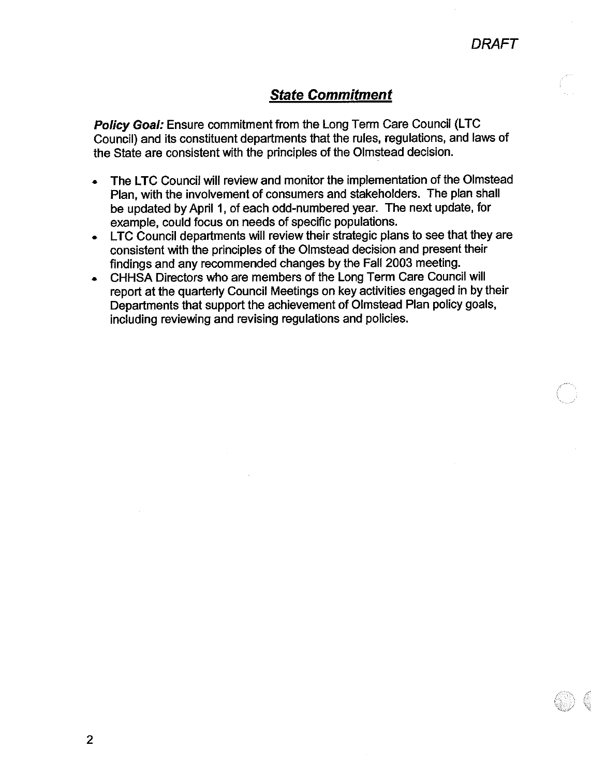### **State Commitment**

Policy Goal: Ensure commitment from the Long Term Care Council (LTC Council) and its constituent departments that the rules, regulations, and laws of the State are consistent with the principles of the Olmstead decision.

- The LTC Council will review and monitor the implementation of the Olmstead Plan, with the involvement of consumers and stakeholders. The plan shall be updated by April 1, of each odd-numbered year. The next update, for example, could focus on needs of specific populations.
- LTC Council departments will review their strategic plans to see that they are  $\bullet$ consistent with the principles of the Olmstead decision and present their findings and any recommended changes by the Fall 2003 meeting.
- CHHSA Directors who are members of the Long Term Care Council will report at the quarterly Council Meetings on key activities engaged in by their Departments that support the achievement of Olmstead Plan policy goals, including reviewing and revising regulations and policies.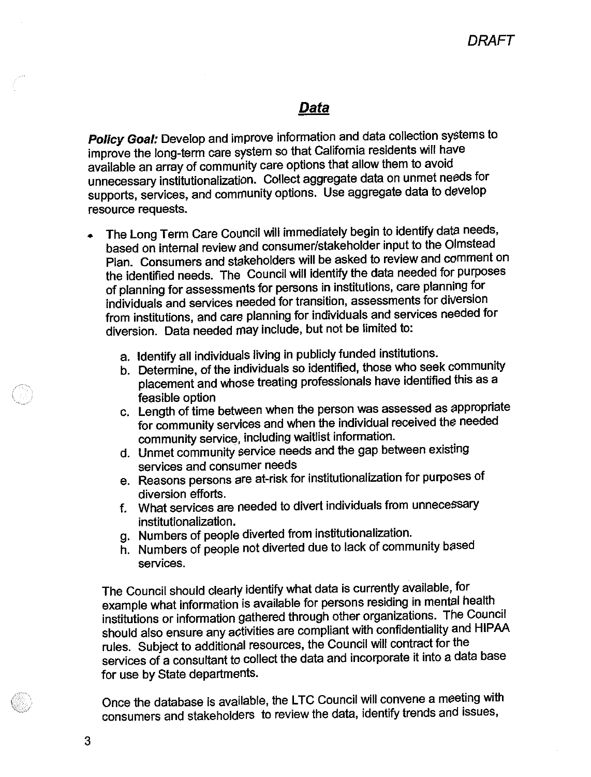## **Data**

Policy Goal: Develop and improve information and data collection systems to improve the long-term care system so that California residents will have available an array of community care options that allow them to avoid unnecessary institutionalization. Collect aggregate data on unmet needs for supports, services, and community options. Use aggregate data to develop resource requests.

- The Long Term Care Council will immediately begin to identify data needs, based on internal review and consumer/stakeholder input to the Olmstead Plan. Consumers and stakeholders will be asked to review and comment on the identified needs. The Council will identify the data needed for purposes of planning for assessments for persons in institutions, care planning for individuals and services needed for transition, assessments for diversion from institutions, and care planning for individuals and services needed for diversion. Data needed may include, but not be limited to:
	- a. Identify all individuals living in publicly funded institutions.
	- b. Determine, of the individuals so identified, those who seek community placement and whose treating professionals have identified this as a feasible option
	- c. Length of time between when the person was assessed as appropriate for community services and when the individual received the needed community service, including waitlist information.
	- d. Unmet community service needs and the gap between existing services and consumer needs
	- e. Reasons persons are at-risk for institutionalization for purposes of diversion efforts.
	- What services are needed to divert individuals from unnecessary  $f_{\perp}$ institutionalization.
	- g. Numbers of people diverted from institutionalization.
	- h. Numbers of people not diverted due to lack of community based services.

The Council should clearly identify what data is currently available, for example what information is available for persons residing in mental health institutions or information gathered through other organizations. The Council should also ensure any activities are compliant with confidentiality and HIPAA rules. Subject to additional resources, the Council will contract for the services of a consultant to collect the data and incorporate it into a data base for use by State departments.

Once the database is available, the LTC Council will convene a meeting with consumers and stakeholders to review the data, identify trends and issues,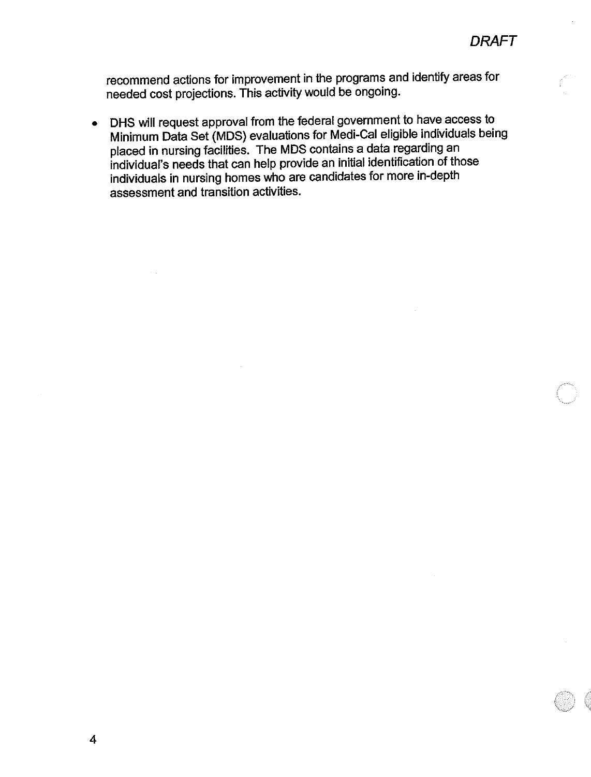recommend actions for improvement in the programs and identify areas for needed cost projections. This activity would be ongoing.

DHS will request approval from the federal government to have access to  $\bullet$ Minimum Data Set (MDS) evaluations for Medi-Cal eligible individuals being placed in nursing facilities. The MDS contains a data regarding an individual's needs that can help provide an initial identification of those individuals in nursing homes who are candidates for more in-depth assessment and transition activities.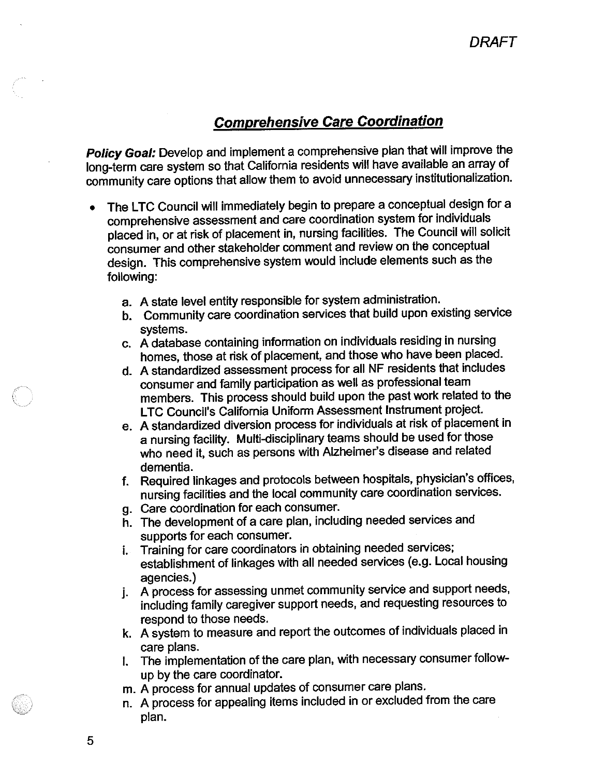## **Comprehensive Care Coordination**

Policy Goal: Develop and implement a comprehensive plan that will improve the long-term care system so that California residents will have available an array of community care options that allow them to avoid unnecessary institutionalization.

- The LTC Council will immediately begin to prepare a conceptual design for a comprehensive assessment and care coordination system for individuals placed in, or at risk of placement in, nursing facilities. The Council will solicit consumer and other stakeholder comment and review on the conceptual design. This comprehensive system would include elements such as the following:
	- a. A state level entity responsible for system administration.
	- b. Community care coordination services that build upon existing service systems.
	- c. A database containing information on individuals residing in nursing homes, those at risk of placement, and those who have been placed.
	- d. A standardized assessment process for all NF residents that includes consumer and family participation as well as professional team members. This process should build upon the past work related to the LTC Council's California Uniform Assessment Instrument project.
	- e. A standardized diversion process for individuals at risk of placement in a nursing facility. Multi-disciplinary teams should be used for those who need it, such as persons with Alzheimer's disease and related dementia.
	- f. Required linkages and protocols between hospitals, physician's offices, nursing facilities and the local community care coordination services.
	- g. Care coordination for each consumer.
	- h. The development of a care plan, including needed services and supports for each consumer.
	- Training for care coordinators in obtaining needed services; i. establishment of linkages with all needed services (e.g. Local housing agencies.)
	- A process for assessing unmet community service and support needs, j. including family caregiver support needs, and requesting resources to respond to those needs.
	- k. A system to measure and report the outcomes of individuals placed in care plans.
	- The implementation of the care plan, with necessary consumer follow-İ. up by the care coordinator.
	- m. A process for annual updates of consumer care plans.
	- n. A process for appealing items included in or excluded from the care plan.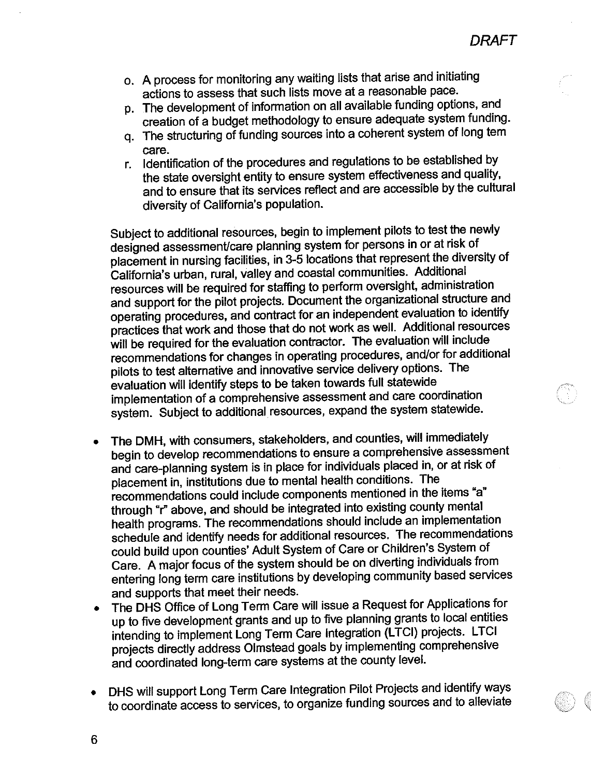- o. A process for monitoring any waiting lists that arise and initiating actions to assess that such lists move at a reasonable pace.
- p. The development of information on all available funding options, and creation of a budget methodology to ensure adequate system funding.
- q. The structuring of funding sources into a coherent system of long tem care.
- Identification of the procedures and regulations to be established by r. the state oversight entity to ensure system effectiveness and quality, and to ensure that its services reflect and are accessible by the cultural diversity of California's population.

Subject to additional resources, begin to implement pilots to test the newly designed assessment/care planning system for persons in or at risk of placement in nursing facilities, in 3-5 locations that represent the diversity of California's urban, rural, valley and coastal communities. Additional resources will be required for staffing to perform oversight, administration and support for the pilot projects. Document the organizational structure and operating procedures, and contract for an independent evaluation to identify practices that work and those that do not work as well. Additional resources will be required for the evaluation contractor. The evaluation will include recommendations for changes in operating procedures, and/or for additional pilots to test alternative and innovative service delivery options. The evaluation will identify steps to be taken towards full statewide implementation of a comprehensive assessment and care coordination system. Subject to additional resources, expand the system statewide.

- The DMH, with consumers, stakeholders, and counties, will immediately begin to develop recommendations to ensure a comprehensive assessment and care-planning system is in place for individuals placed in, or at risk of placement in, institutions due to mental health conditions. The recommendations could include components mentioned in the items "a" through "r" above, and should be integrated into existing county mental health programs. The recommendations should include an implementation schedule and identify needs for additional resources. The recommendations could build upon counties' Adult System of Care or Children's System of Care. A major focus of the system should be on diverting individuals from entering long term care institutions by developing community based services and supports that meet their needs.
- The DHS Office of Long Term Care will issue a Request for Applications for up to five development grants and up to five planning grants to local entities intending to implement Long Term Care Integration (LTCI) projects. LTCI projects directly address Olmstead goals by implementing comprehensive and coordinated long-term care systems at the county level.
- DHS will support Long Term Care Integration Pilot Projects and identify ways to coordinate access to services, to organize funding sources and to alleviate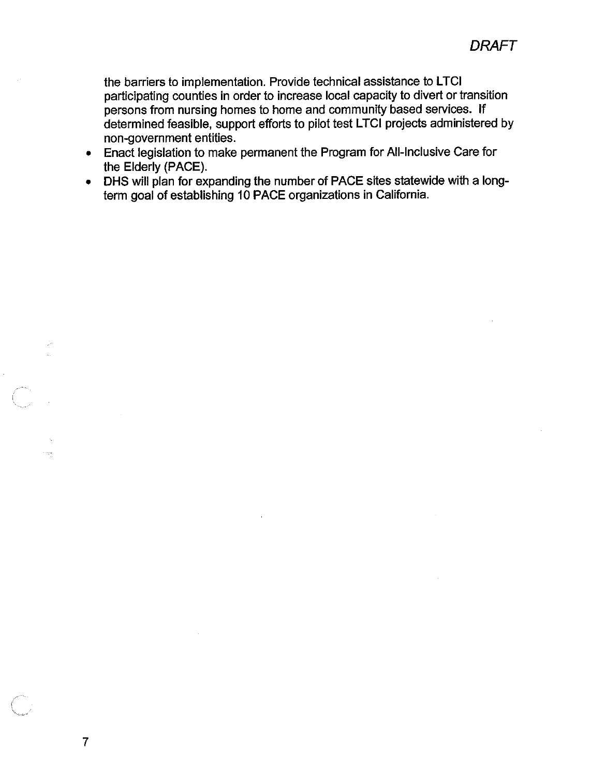the barriers to implementation. Provide technical assistance to LTCI participating counties in order to increase local capacity to divert or transition persons from nursing homes to home and community based services. If determined feasible, support efforts to pilot test LTCI projects administered by non-government entities.

- Enact legislation to make permanent the Program for All-Inclusive Care for the Elderly (PACE).
- DHS will plan for expanding the number of PACE sites statewide with a longterm goal of establishing 10 PACE organizations in California.

 $\overline{7}$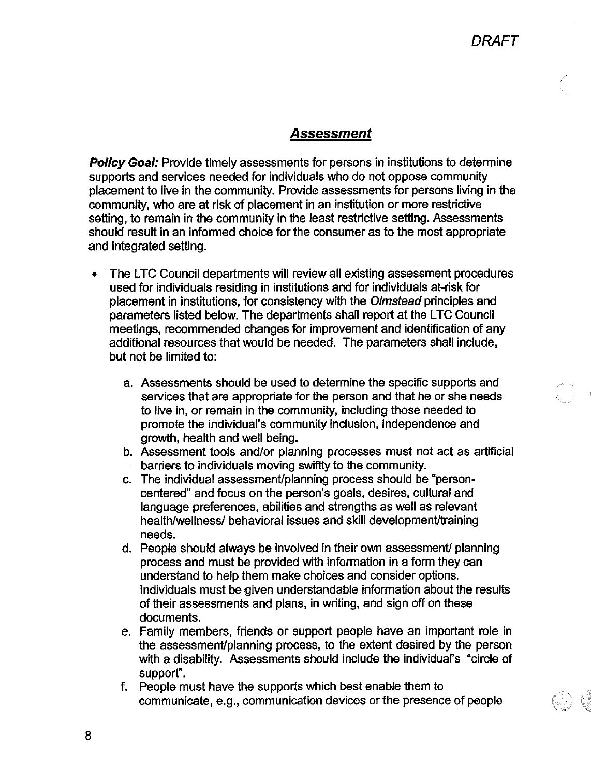### Assessment

**Policy Goal:** Provide timely assessments for persons in institutions to determine supports and services needed for individuals who do not oppose community placement to live in the community. Provide assessments for persons living in the community, who are at risk of placement in an institution or more restrictive setting, to remain in the community in the least restrictive setting. Assessments should result in an informed choice for the consumer as to the most appropriate and integrated setting.

- The LTC Council departments will review all existing assessment procedures  $\bullet$ used for individuals residing in institutions and for individuals at-risk for placement in institutions, for consistency with the Olmstead principles and parameters listed below. The departments shall report at the LTC Council meetings, recommended changes for improvement and identification of any additional resources that would be needed. The parameters shall include, but not be limited to:
	- a. Assessments should be used to determine the specific supports and services that are appropriate for the person and that he or she needs to live in, or remain in the community, including those needed to promote the individual's community inclusion, independence and growth, health and well being.
	- b. Assessment tools and/or planning processes must not act as artificial barriers to individuals moving swiftly to the community.
	- c. The individual assessment/planning process should be "personcentered" and focus on the person's goals, desires, cultural and language preferences, abilities and strengths as well as relevant health/wellness/ behavioral issues and skill development/training needs.
	- d. People should always be involved in their own assessment/ planning process and must be provided with information in a form they can understand to help them make choices and consider options. Individuals must be given understandable information about the results of their assessments and plans, in writing, and sign off on these documents.
	- e. Family members, friends or support people have an important role in the assessment/planning process, to the extent desired by the person with a disability. Assessments should include the individual's "circle of support".
	- f. People must have the supports which best enable them to communicate, e.g., communication devices or the presence of people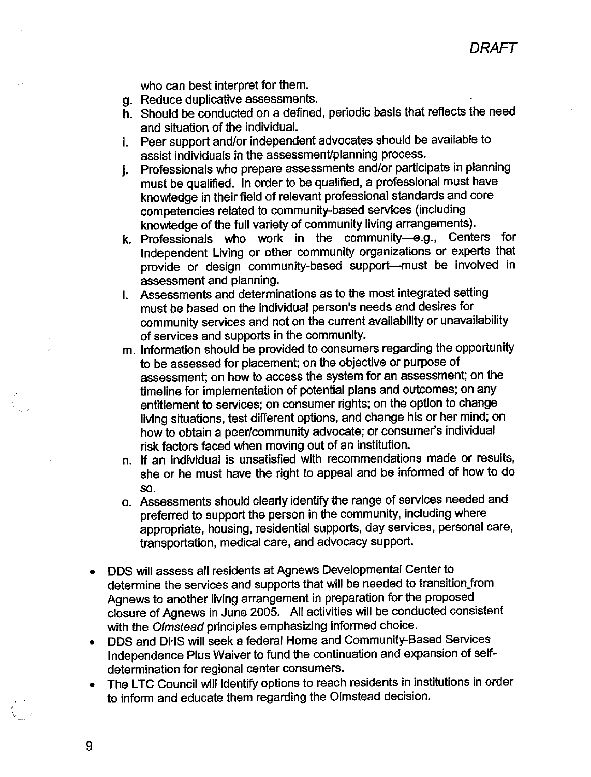**DRAFT** 

who can best interpret for them.

- g. Reduce duplicative assessments.
- h. Should be conducted on a defined, periodic basis that reflects the need and situation of the individual.
- i. Peer support and/or independent advocates should be available to assist individuals in the assessment/planning process.
- Professionals who prepare assessments and/or participate in planning  $\mathbf{i}$ must be qualified. In order to be qualified, a professional must have knowledge in their field of relevant professional standards and core competencies related to community-based services (including knowledge of the full variety of community living arrangements).
- k. Professionals who work in the community-e.g., Centers for Independent Living or other community organizations or experts that provide or design community-based support-must be involved in assessment and planning.
- I. Assessments and determinations as to the most integrated setting must be based on the individual person's needs and desires for community services and not on the current availability or unavailability of services and supports in the community.
- m. Information should be provided to consumers regarding the opportunity to be assessed for placement; on the objective or purpose of assessment; on how to access the system for an assessment; on the timeline for implementation of potential plans and outcomes; on any entitlement to services; on consumer rights; on the option to change living situations, test different options, and change his or her mind; on how to obtain a peer/community advocate; or consumer's individual risk factors faced when moving out of an institution.
- n. If an individual is unsatisfied with recommendations made or results. she or he must have the right to appeal and be informed of how to do SO.
- o. Assessments should clearly identify the range of services needed and preferred to support the person in the community, including where appropriate, housing, residential supports, day services, personal care, transportation, medical care, and advocacy support.
- DDS will assess all residents at Agnews Developmental Center to determine the services and supports that will be needed to transition from Agnews to another living arrangement in preparation for the proposed closure of Agnews in June 2005. All activities will be conducted consistent with the Olmstead principles emphasizing informed choice.
- DDS and DHS will seek a federal Home and Community-Based Services Independence Plus Waiver to fund the continuation and expansion of selfdetermination for regional center consumers.
- The LTC Council will identify options to reach residents in institutions in order to inform and educate them regarding the Olmstead decision.

9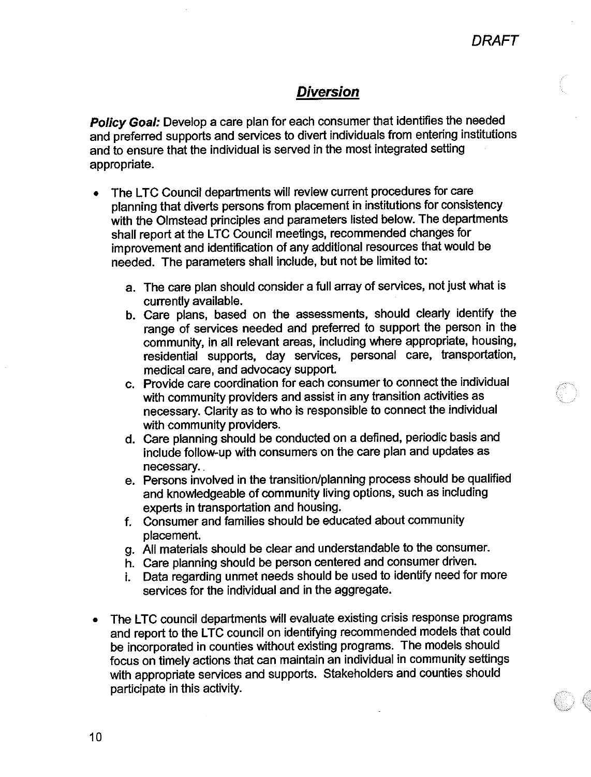## **Diversion**

Policy Goal: Develop a care plan for each consumer that identifies the needed and preferred supports and services to divert individuals from entering institutions and to ensure that the individual is served in the most integrated setting appropriate.

- The LTC Council departments will review current procedures for care planning that diverts persons from placement in institutions for consistency with the Olmstead principles and parameters listed below. The departments shall report at the LTC Council meetings, recommended changes for improvement and identification of any additional resources that would be needed. The parameters shall include, but not be limited to:
	- a. The care plan should consider a full array of services, not just what is currently available.
	- b. Care plans, based on the assessments, should clearly identify the range of services needed and preferred to support the person in the community, in all relevant areas, including where appropriate, housing, residential supports, day services, personal care, transportation, medical care, and advocacy support.
	- c. Provide care coordination for each consumer to connect the individual with community providers and assist in any transition activities as necessary. Clarity as to who is responsible to connect the individual with community providers.
	- d. Care planning should be conducted on a defined, periodic basis and include follow-up with consumers on the care plan and updates as necessary.
	- e. Persons involved in the transition/planning process should be qualified and knowledgeable of community living options, such as including experts in transportation and housing.
	- f. Consumer and families should be educated about community placement.
	- g. All materials should be clear and understandable to the consumer.
	- h. Care planning should be person centered and consumer driven.
	- Data regarding unmet needs should be used to identify need for more i. services for the individual and in the aggregate.
- The LTC council departments will evaluate existing crisis response programs and report to the LTC council on identifying recommended models that could be incorporated in counties without existing programs. The models should focus on timely actions that can maintain an individual in community settings with appropriate services and supports. Stakeholders and counties should participate in this activity.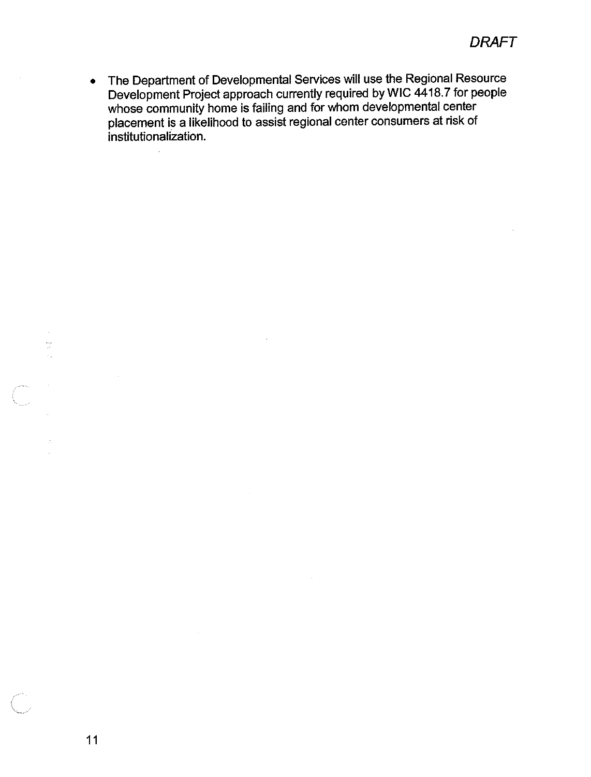The Department of Developmental Services will use the Regional Resource  $\bullet$ Development Project approach currently required by WIC 4418.7 for people whose community home is failing and for whom developmental center placement is a likelihood to assist regional center consumers at risk of institutionalization.

 $\ddot{\phantom{a}}$ 

 $\sim$ 

 $\frac{1}{2}$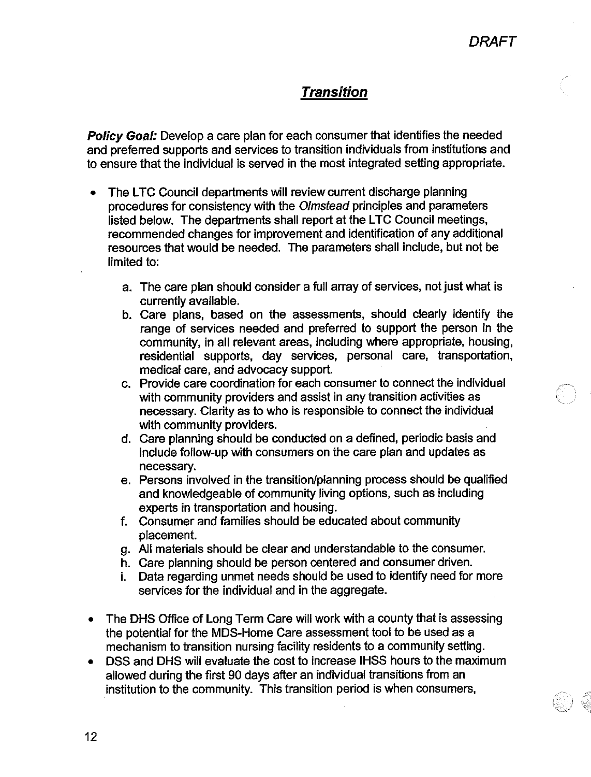# **Transition**

Policy Goal: Develop a care plan for each consumer that identifies the needed and preferred supports and services to transition individuals from institutions and to ensure that the individual is served in the most integrated setting appropriate.

- The LTC Council departments will review current discharge planning  $\bullet$ procedures for consistency with the Olmstead principles and parameters listed below. The departments shall report at the LTC Council meetings. recommended changes for improvement and identification of any additional resources that would be needed. The parameters shall include, but not be limited to:
	- a. The care plan should consider a full array of services, not just what is currently available.
	- b. Care plans, based on the assessments, should clearly identify the range of services needed and preferred to support the person in the community, in all relevant areas, including where appropriate, housing, residential supports, day services, personal care, transportation, medical care, and advocacy support.
	- c. Provide care coordination for each consumer to connect the individual with community providers and assist in any transition activities as necessary. Clarity as to who is responsible to connect the individual with community providers.
	- d. Care planning should be conducted on a defined, periodic basis and include follow-up with consumers on the care plan and updates as necessary.
	- e. Persons involved in the transition/planning process should be qualified and knowledgeable of community living options, such as including experts in transportation and housing.
	- f. Consumer and families should be educated about community placement.
	- g. All materials should be clear and understandable to the consumer.
	- h. Care planning should be person centered and consumer driven.
	- i. Data regarding unmet needs should be used to identify need for more services for the individual and in the aggregate.
- The DHS Office of Long Term Care will work with a county that is assessing the potential for the MDS-Home Care assessment tool to be used as a mechanism to transition nursing facility residents to a community setting.
- DSS and DHS will evaluate the cost to increase IHSS hours to the maximum allowed during the first 90 days after an individual transitions from an institution to the community. This transition period is when consumers,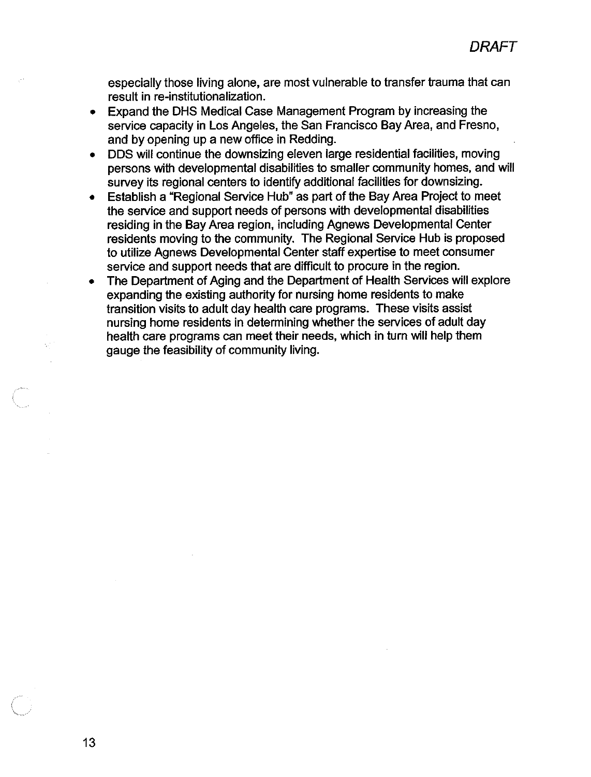especially those living alone, are most vulnerable to transfer trauma that can result in re-institutionalization.

- Expand the DHS Medical Case Management Program by increasing the service capacity in Los Angeles, the San Francisco Bay Area, and Fresno, and by opening up a new office in Redding.
- DDS will continue the downsizing eleven large residential facilities, moving persons with developmental disabilities to smaller community homes, and will survey its regional centers to identify additional facilities for downsizing.
- Establish a "Regional Service Hub" as part of the Bay Area Project to meet the service and support needs of persons with developmental disabilities residing in the Bay Area region, including Agnews Developmental Center residents moving to the community. The Regional Service Hub is proposed to utilize Agnews Developmental Center staff expertise to meet consumer service and support needs that are difficult to procure in the region.
- The Department of Aging and the Department of Health Services will explore  $\bullet$ expanding the existing authority for nursing home residents to make transition visits to adult day health care programs. These visits assist nursing home residents in determining whether the services of adult day health care programs can meet their needs, which in turn will help them gauge the feasibility of community living.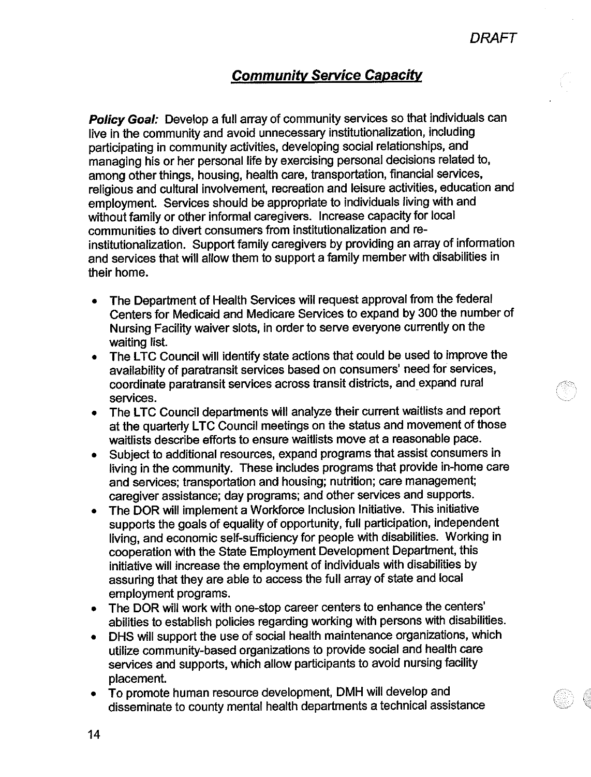## **Community Service Capacity**

Policy Goal: Develop a full array of community services so that individuals can live in the community and avoid unnecessary institutionalization, including participating in community activities, developing social relationships, and managing his or her personal life by exercising personal decisions related to, among other things, housing, health care, transportation, financial services, religious and cultural involvement, recreation and leisure activities, education and employment. Services should be appropriate to individuals living with and without family or other informal caregivers. Increase capacity for local communities to divert consumers from institutionalization and reinstitutionalization. Support family caregivers by providing an array of information and services that will allow them to support a family member with disabilities in their home.

- The Department of Health Services will request approval from the federal Centers for Medicaid and Medicare Services to expand by 300 the number of Nursing Facility waiver slots, in order to serve everyone currently on the waiting list.
- The LTC Council will identify state actions that could be used to improve the  $\bullet$ availability of paratransit services based on consumers' need for services, coordinate paratransit services across transit districts, and expand rural services.
- The LTC Council departments will analyze their current waitlists and report  $\bullet$ at the quarterly LTC Council meetings on the status and movement of those waitlists describe efforts to ensure waitlists move at a reasonable pace.
- Subject to additional resources, expand programs that assist consumers in  $\bullet$ living in the community. These includes programs that provide in-home care and services: transportation and housing; nutrition; care management; caregiver assistance; day programs; and other services and supports.
- The DOR will implement a Workforce Inclusion Initiative. This initiative  $\bullet$ supports the goals of equality of opportunity, full participation, independent living, and economic self-sufficiency for people with disabilities. Working in cooperation with the State Employment Development Department, this initiative will increase the employment of individuals with disabilities by assuring that they are able to access the full array of state and local employment programs.
- The DOR will work with one-stop career centers to enhance the centers'  $\bullet$ abilities to establish policies regarding working with persons with disabilities.
- DHS will support the use of social health maintenance organizations, which  $\bullet$ utilize community-based organizations to provide social and health care services and supports, which allow participants to avoid nursing facility placement.
- To promote human resource development, DMH will develop and  $\bullet$ disseminate to county mental health departments a technical assistance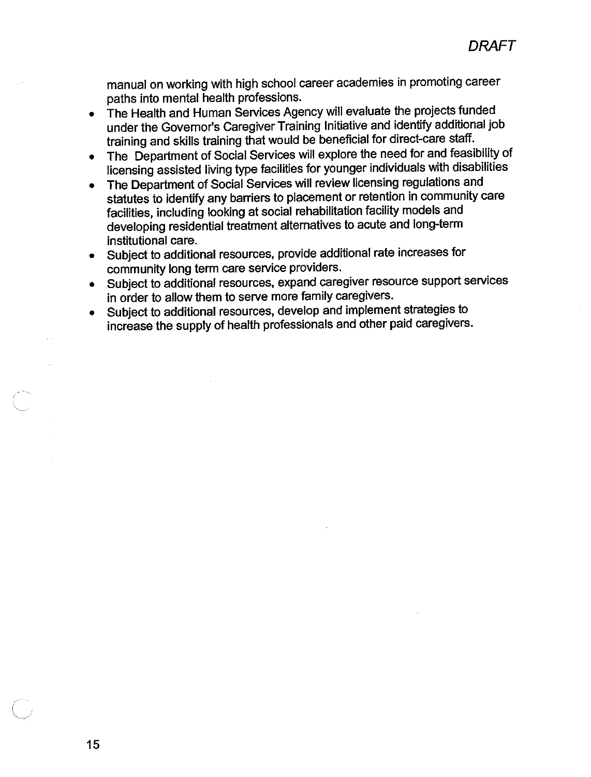manual on working with high school career academies in promoting career paths into mental health professions.

- The Health and Human Services Agency will evaluate the projects funded under the Governor's Caregiver Training Initiative and identify additional job training and skills training that would be beneficial for direct-care staff.
- The Department of Social Services will explore the need for and feasibility of licensing assisted living type facilities for younger individuals with disabilities
- The Department of Social Services will review licensing regulations and statutes to identify any barriers to placement or retention in community care facilities, including looking at social rehabilitation facility models and developing residential treatment alternatives to acute and long-term institutional care.
- Subject to additional resources, provide additional rate increases for community long term care service providers.
- Subject to additional resources, expand caregiver resource support services in order to allow them to serve more family caregivers.
- Subject to additional resources, develop and implement strategies to  $\bullet$ increase the supply of health professionals and other paid caregivers.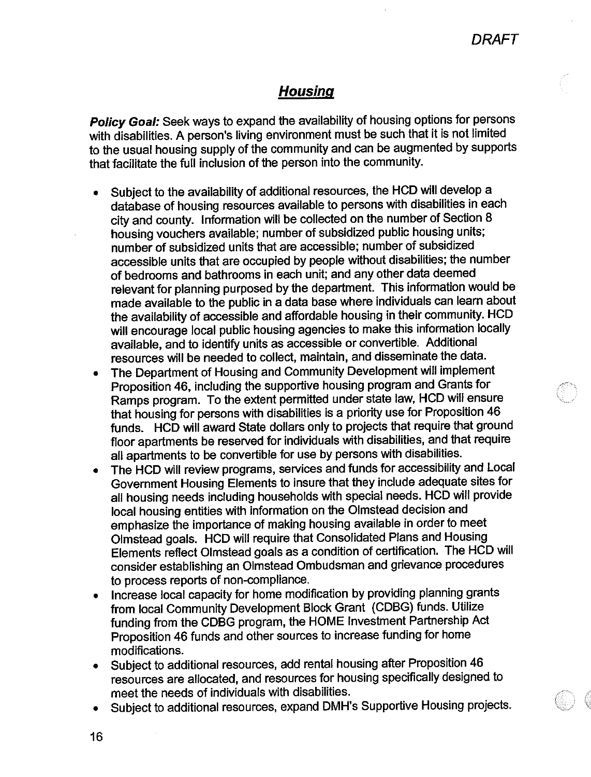### **Housing**

Policy Goal: Seek ways to expand the availability of housing options for persons with disabilities. A person's living environment must be such that it is not limited to the usual housing supply of the community and can be augmented by supports that facilitate the full inclusion of the person into the community.

- Subject to the availability of additional resources, the HCD will develop a database of housing resources available to persons with disabilities in each city and county. Information will be collected on the number of Section 8 housing vouchers available; number of subsidized public housing units; number of subsidized units that are accessible; number of subsidized accessible units that are occupied by people without disabilities; the number of bedrooms and bathrooms in each unit; and any other data deemed relevant for planning purposed by the department. This information would be made available to the public in a data base where individuals can learn about the availability of accessible and affordable housing in their community. HCD will encourage local public housing agencies to make this information locally available, and to identify units as accessible or convertible. Additional resources will be needed to collect, maintain, and disseminate the data.
- The Department of Housing and Community Development will implement Proposition 46, including the supportive housing program and Grants for Ramps program. To the extent permitted under state law, HCD will ensure that housing for persons with disabilities is a priority use for Proposition 46 funds. HCD will award State dollars only to projects that require that ground floor apartments be reserved for individuals with disabilities, and that require all apartments to be convertible for use by persons with disabilities.
- The HCD will review programs, services and funds for accessibility and Local Government Housing Elements to insure that they include adequate sites for all housing needs including households with special needs. HCD will provide local housing entities with information on the Olmstead decision and emphasize the importance of making housing available in order to meet Olmstead goals. HCD will require that Consolidated Plans and Housing Elements reflect Olmstead goals as a condition of certification. The HCD will consider establishing an Olmstead Ombudsman and grievance procedures to process reports of non-compliance.
- Increase local capacity for home modification by providing planning grants  $\bullet$ from local Community Development Block Grant (CDBG) funds. Utilize funding from the CDBG program, the HOME Investment Partnership Act Proposition 46 funds and other sources to increase funding for home modifications.
- Subject to additional resources, add rental housing after Proposition 46  $\bullet$ resources are allocated, and resources for housing specifically designed to meet the needs of individuals with disabilities.
- Subject to additional resources, expand DMH's Supportive Housing projects.
- 16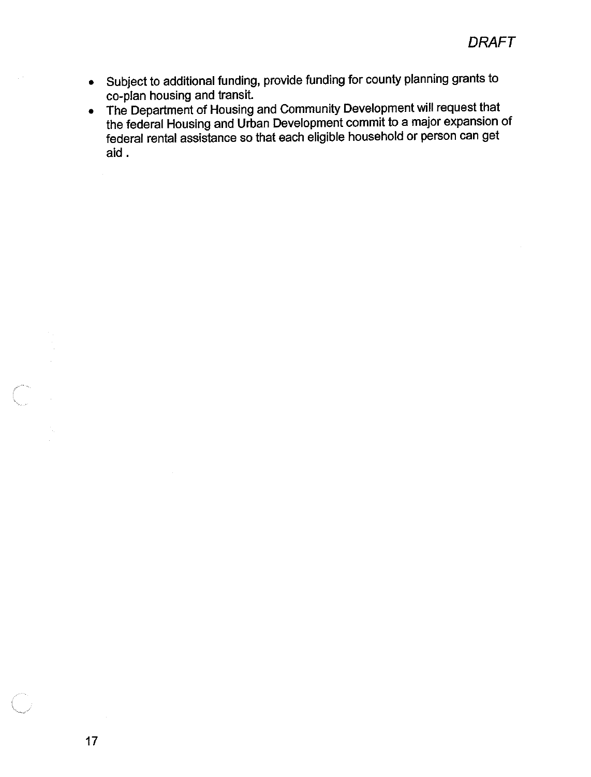- Subject to additional funding, provide funding for county planning grants to co-plan housing and transit.
- The Department of Housing and Community Development will request that the federal Housing and Urban Development commit to a major expansion of federal rental assistance so that each eligible household or person can get aid.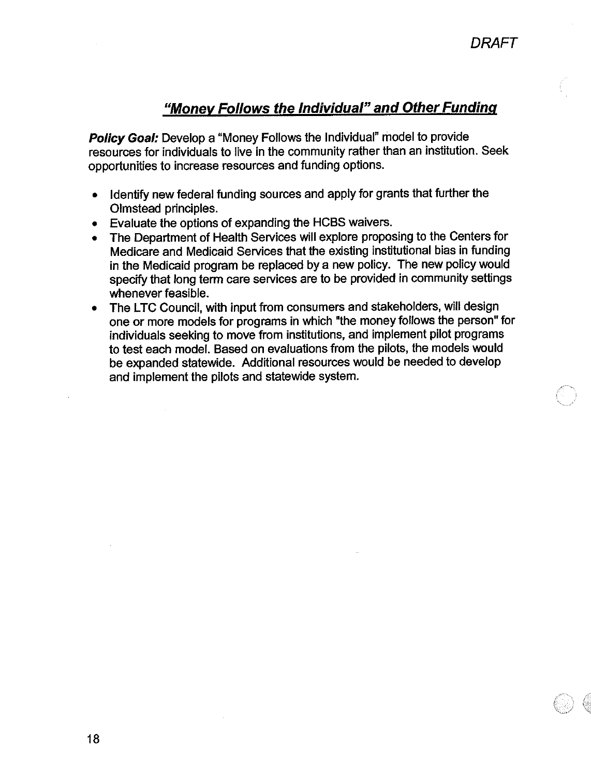## "Money Follows the Individual" and Other Funding

Policy Goal: Develop a "Money Follows the Individual" model to provide resources for individuals to live in the community rather than an institution. Seek opportunities to increase resources and funding options.

- Identify new federal funding sources and apply for grants that further the  $\bullet$ Olmstead principles.
- Evaluate the options of expanding the HCBS waivers.
- The Department of Health Services will explore proposing to the Centers for Medicare and Medicaid Services that the existing institutional bias in funding in the Medicaid program be replaced by a new policy. The new policy would specify that long term care services are to be provided in community settings whenever feasible.
- The LTC Council, with input from consumers and stakeholders, will design one or more models for programs in which "the money follows the person" for individuals seeking to move from institutions, and implement pilot programs to test each model. Based on evaluations from the pilots, the models would be expanded statewide. Additional resources would be needed to develop and implement the pilots and statewide system.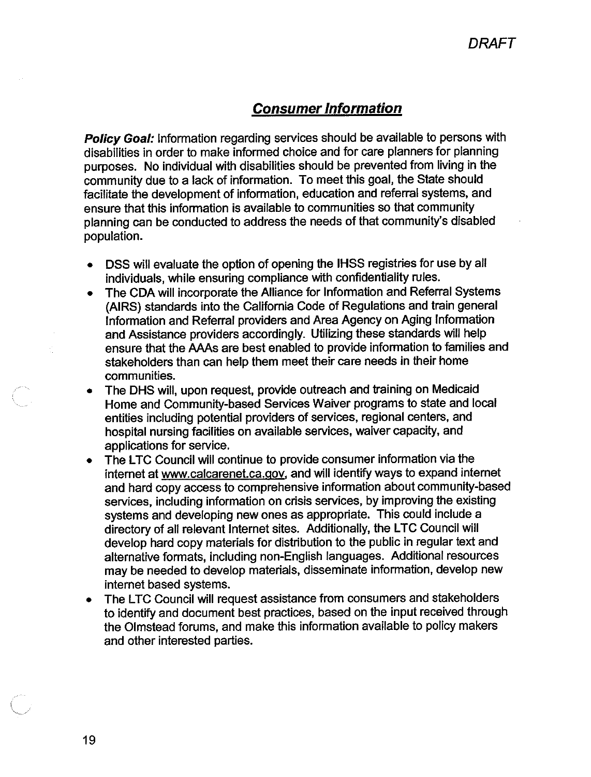## **Consumer Information**

**Policy Goal:** Information regarding services should be available to persons with disabilities in order to make informed choice and for care planners for planning purposes. No individual with disabilities should be prevented from living in the community due to a lack of information. To meet this goal, the State should facilitate the development of information, education and referral systems, and ensure that this information is available to communities so that community planning can be conducted to address the needs of that community's disabled population.

- DSS will evaluate the option of opening the IHSS registries for use by all individuals, while ensuring compliance with confidentiality rules.
- The CDA will incorporate the Alliance for Information and Referral Systems (AIRS) standards into the California Code of Regulations and train general Information and Referral providers and Area Agency on Aging Information and Assistance providers accordingly. Utilizing these standards will help ensure that the AAAs are best enabled to provide information to families and stakeholders than can help them meet their care needs in their home communities.
- The DHS will, upon request, provide outreach and training on Medicaid Home and Community-based Services Waiver programs to state and local entities including potential providers of services, regional centers, and hospital nursing facilities on available services, waiver capacity, and applications for service.
- The LTC Council will continue to provide consumer information via the  $\bullet$ internet at www.calcarenet.ca.gov, and will identify ways to expand internet and hard copy access to comprehensive information about community-based services, including information on crisis services, by improving the existing systems and developing new ones as appropriate. This could include a directory of all relevant Internet sites. Additionally, the LTC Council will develop hard copy materials for distribution to the public in regular text and alternative formats, including non-English languages. Additional resources may be needed to develop materials, disseminate information, develop new internet based systems.
- The LTC Council will request assistance from consumers and stakeholders to identify and document best practices, based on the input received through the Olmstead forums, and make this information available to policy makers and other interested parties.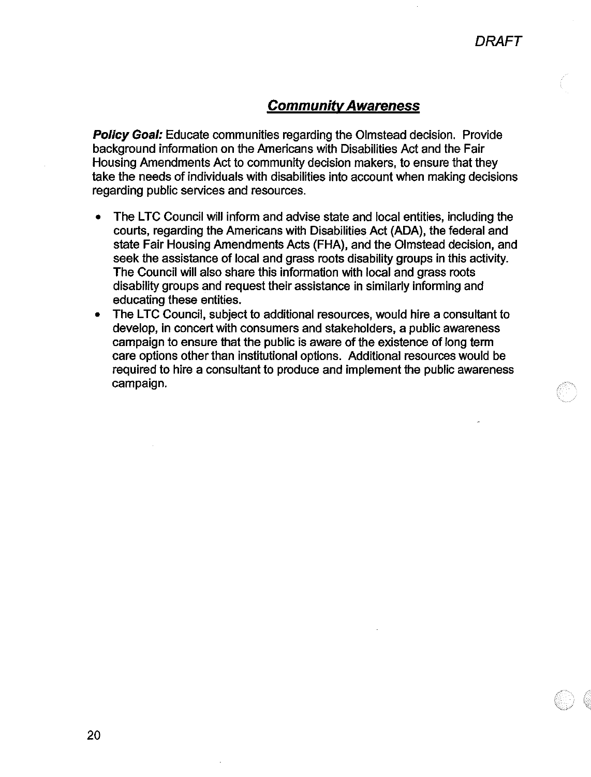### **Community Awareness**

**Policy Goal:** Educate communities regarding the Olmstead decision. Provide background information on the Americans with Disabilities Act and the Fair Housing Amendments Act to community decision makers, to ensure that they take the needs of individuals with disabilities into account when making decisions regarding public services and resources.

- The LTC Council will inform and advise state and local entities, including the courts, regarding the Americans with Disabilities Act (ADA), the federal and state Fair Housing Amendments Acts (FHA), and the Olmstead decision, and seek the assistance of local and grass roots disability groups in this activity. The Council will also share this information with local and grass roots disability groups and request their assistance in similarly informing and educating these entities.
- The LTC Council, subject to additional resources, would hire a consultant to develop, in concert with consumers and stakeholders, a public awareness campaign to ensure that the public is aware of the existence of long term care options other than institutional options. Additional resources would be required to hire a consultant to produce and implement the public awareness campaign.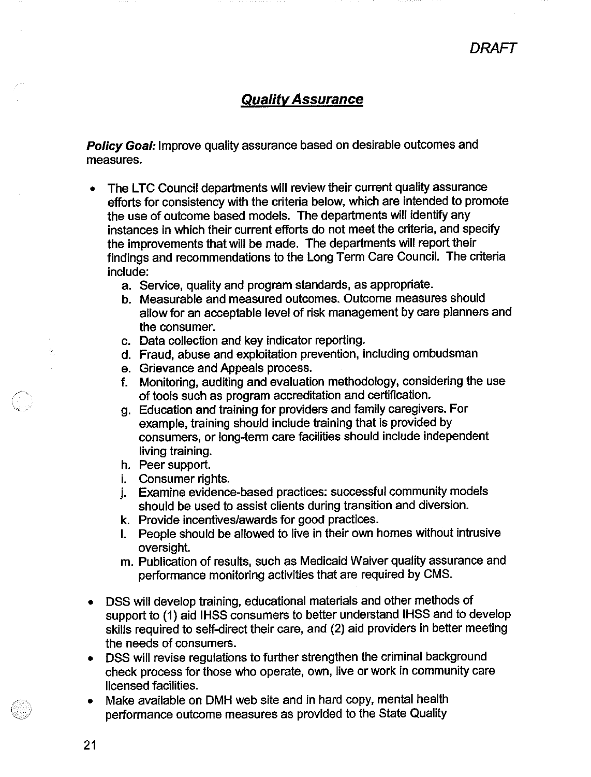### **Quality Assurance**

Policy Goal: Improve quality assurance based on desirable outcomes and measures.

- The LTC Council departments will review their current quality assurance  $\bullet$ efforts for consistency with the criteria below, which are intended to promote the use of outcome based models. The departments will identify any instances in which their current efforts do not meet the criteria, and specify the improvements that will be made. The departments will report their findings and recommendations to the Long Term Care Council. The criteria include:
	- a. Service, quality and program standards, as appropriate.
	- b. Measurable and measured outcomes. Outcome measures should allow for an acceptable level of risk management by care planners and the consumer.
	- c. Data collection and key indicator reporting.
	- d. Fraud, abuse and exploitation prevention, including ombudsman
	- e. Grievance and Appeals process.
	- f. Monitoring, auditing and evaluation methodology, considering the use of tools such as program accreditation and certification.
	- g. Education and training for providers and family caregivers. For example, training should include training that is provided by consumers, or long-term care facilities should include independent living training.
	- h. Peer support.
	- *i.* Consumer rights.
	- j. Examine evidence-based practices: successful community models should be used to assist clients during transition and diversion.
	- k. Provide incentives/awards for good practices.
	- I. People should be allowed to live in their own homes without intrusive oversight.
	- m. Publication of results, such as Medicaid Waiver quality assurance and performance monitoring activities that are required by CMS.
- DSS will develop training, educational materials and other methods of support to (1) aid IHSS consumers to better understand IHSS and to develop skills required to self-direct their care, and (2) aid providers in better meeting the needs of consumers.
- DSS will revise regulations to further strengthen the criminal background check process for those who operate, own, live or work in community care licensed facilities.
- Make available on DMH web site and in hard copy, mental health performance outcome measures as provided to the State Quality

 $21$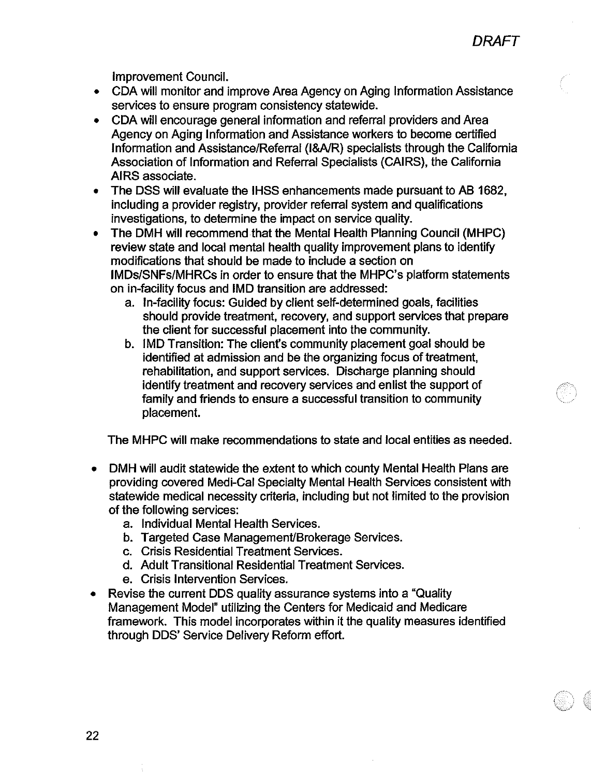**Improvement Council.** 

- CDA will monitor and improve Area Agency on Aging Information Assistance services to ensure program consistency statewide.
- CDA will encourage general information and referral providers and Area Agency on Aging Information and Assistance workers to become certified Information and Assistance/Referral (I&A/R) specialists through the California Association of Information and Referral Specialists (CAIRS), the California AIRS associate.
- The DSS will evaluate the IHSS enhancements made pursuant to AB 1682,  $\bullet$ including a provider registry, provider referral system and qualifications investigations, to determine the impact on service quality.
- The DMH will recommend that the Mental Health Planning Council (MHPC)  $\bullet$ review state and local mental health quality improvement plans to identify modifications that should be made to include a section on IMDs/SNFs/MHRCs in order to ensure that the MHPC's platform statements on in-facility focus and IMD transition are addressed:
	- a. In-facility focus: Guided by client self-determined goals, facilities should provide treatment, recovery, and support services that prepare the client for successful placement into the community.
	- b. IMD Transition: The client's community placement goal should be identified at admission and be the organizing focus of treatment. rehabilitation, and support services. Discharge planning should identify treatment and recovery services and enlist the support of family and friends to ensure a successful transition to community placement.

The MHPC will make recommendations to state and local entities as needed.

- DMH will audit statewide the extent to which county Mental Health Plans are  $\bullet$ providing covered Medi-Cal Specialty Mental Health Services consistent with statewide medical necessity criteria, including but not limited to the provision of the following services:
	- a. Individual Mental Health Services.
	- b. Targeted Case Management/Brokerage Services.
	- c. Crisis Residential Treatment Services.
	- d. Adult Transitional Residential Treatment Services.
	- e. Crisis Intervention Services.
- Revise the current DDS quality assurance systems into a "Quality" Management Model" utilizing the Centers for Medicaid and Medicare framework. This model incorporates within it the quality measures identified through DDS' Service Delivery Reform effort.